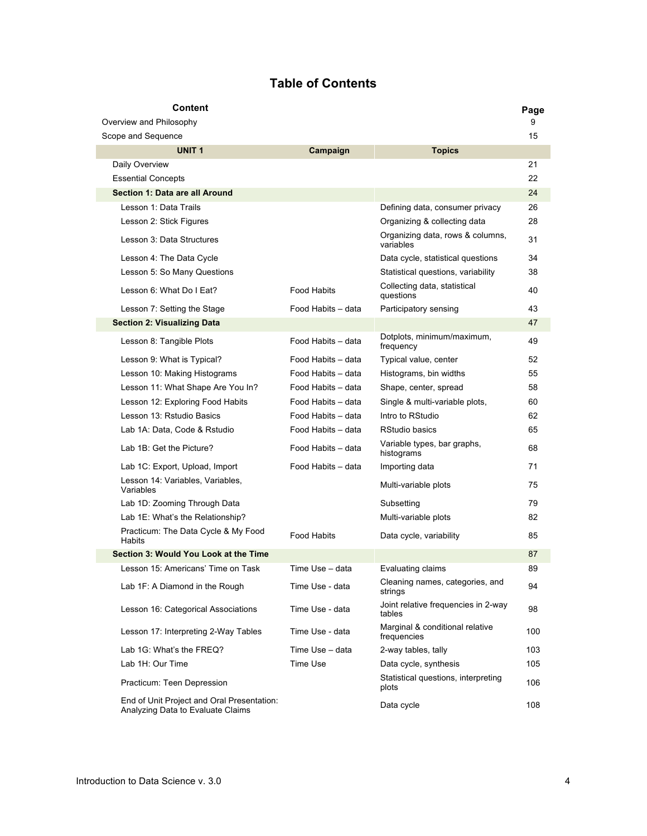## **Table of Contents**

| Content                                                                         |                    |                                                | Page |
|---------------------------------------------------------------------------------|--------------------|------------------------------------------------|------|
| Overview and Philosophy                                                         |                    |                                                | 9    |
| Scope and Sequence                                                              |                    |                                                | 15   |
| UNIT <sub>1</sub>                                                               | Campaign           | <b>Topics</b>                                  |      |
| Daily Overview                                                                  |                    |                                                | 21   |
| <b>Essential Concepts</b>                                                       |                    |                                                | 22   |
| Section 1: Data are all Around                                                  |                    |                                                | 24   |
| Lesson 1: Data Trails                                                           |                    | Defining data, consumer privacy                | 26   |
| Lesson 2: Stick Figures                                                         |                    | Organizing & collecting data                   | 28   |
| Lesson 3: Data Structures                                                       |                    | Organizing data, rows & columns,<br>variables  | 31   |
| Lesson 4: The Data Cycle                                                        |                    | Data cycle, statistical questions              | 34   |
| Lesson 5: So Many Questions                                                     |                    | Statistical questions, variability             | 38   |
| Lesson 6: What Do I Eat?                                                        | <b>Food Habits</b> | Collecting data, statistical<br>questions      | 40   |
| Lesson 7: Setting the Stage                                                     | Food Habits - data | Participatory sensing                          | 43   |
| <b>Section 2: Visualizing Data</b>                                              |                    |                                                | 47   |
| Lesson 8: Tangible Plots                                                        | Food Habits - data | Dotplots, minimum/maximum,<br>frequency        | 49   |
| Lesson 9: What is Typical?                                                      | Food Habits - data | Typical value, center                          | 52   |
| Lesson 10: Making Histograms                                                    | Food Habits - data | Histograms, bin widths                         | 55   |
| Lesson 11: What Shape Are You In?                                               | Food Habits - data | Shape, center, spread                          | 58   |
| Lesson 12: Exploring Food Habits                                                | Food Habits - data | Single & multi-variable plots,                 | 60   |
| Lesson 13: Rstudio Basics                                                       | Food Habits - data | Intro to RStudio                               | 62   |
| Lab 1A: Data, Code & Rstudio                                                    | Food Habits - data | RStudio basics                                 | 65   |
| Lab 1B: Get the Picture?                                                        | Food Habits - data | Variable types, bar graphs,<br>histograms      | 68   |
| Lab 1C: Export, Upload, Import                                                  | Food Habits - data | Importing data                                 | 71   |
| Lesson 14: Variables, Variables,<br>Variables                                   |                    | Multi-variable plots                           | 75   |
| Lab 1D: Zooming Through Data                                                    |                    | Subsetting                                     | 79   |
| Lab 1E: What's the Relationship?                                                |                    | Multi-variable plots                           | 82   |
| Practicum: The Data Cycle & My Food<br>Habits                                   | <b>Food Habits</b> | Data cycle, variability                        | 85   |
| Section 3: Would You Look at the Time                                           |                    |                                                | 87   |
| Lesson 15: Americans' Time on Task                                              | Time Use - data    | Evaluating claims                              | 89   |
| Lab 1F: A Diamond in the Rough                                                  | Time Use - data    | Cleaning names, categories, and<br>strings     | 94   |
| Lesson 16: Categorical Associations                                             | Time Use - data    | Joint relative frequencies in 2-way<br>tables  | 98   |
| Lesson 17: Interpreting 2-Way Tables                                            | Time Use - data    | Marginal & conditional relative<br>frequencies | 100  |
| Lab 1G: What's the FREQ?                                                        | Time Use - data    | 2-way tables, tally                            | 103  |
| Lab 1H: Our Time                                                                | Time Use           | Data cycle, synthesis                          | 105  |
| Practicum: Teen Depression                                                      |                    | Statistical questions, interpreting<br>plots   | 106  |
| End of Unit Project and Oral Presentation:<br>Analyzing Data to Evaluate Claims |                    | Data cycle                                     | 108  |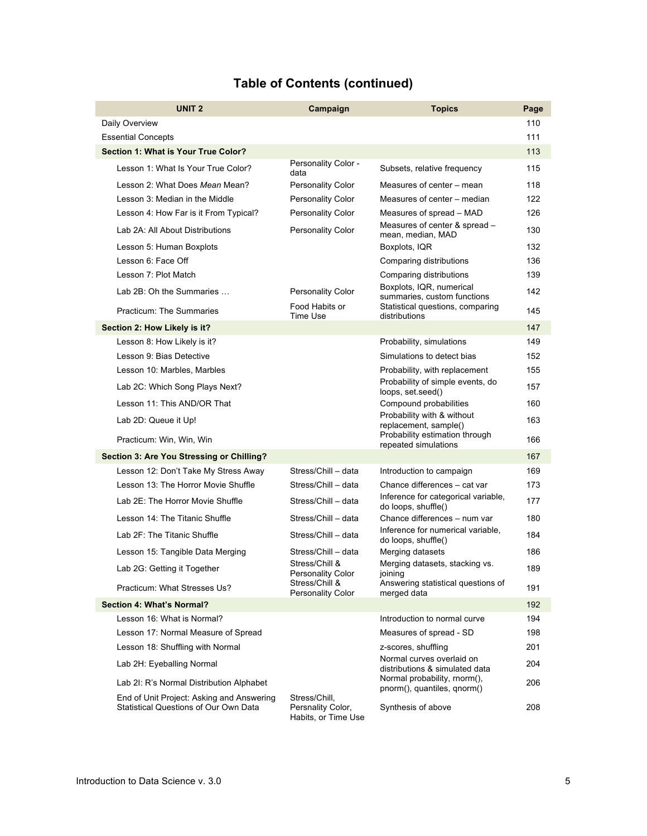| <b>UNIT 2</b>                                                                      | Campaign                                                  | <b>Topics</b>                                               | Page |
|------------------------------------------------------------------------------------|-----------------------------------------------------------|-------------------------------------------------------------|------|
| Daily Overview                                                                     |                                                           |                                                             | 110  |
| <b>Essential Concepts</b>                                                          |                                                           |                                                             | 111  |
| Section 1: What is Your True Color?                                                |                                                           |                                                             | 113  |
| Lesson 1: What Is Your True Color?                                                 | Personality Color -<br>data                               | Subsets, relative frequency                                 | 115  |
| Lesson 2: What Does Mean Mean?                                                     | <b>Personality Color</b>                                  | Measures of center – mean                                   | 118  |
| Lesson 3: Median in the Middle                                                     | <b>Personality Color</b>                                  | Measures of center - median                                 | 122  |
| Lesson 4: How Far is it From Typical?                                              | <b>Personality Color</b>                                  | Measures of spread - MAD                                    | 126  |
| Lab 2A: All About Distributions                                                    | Personality Color                                         | Measures of center & spread -<br>mean, median, MAD          | 130  |
| Lesson 5: Human Boxplots                                                           |                                                           | Boxplots, IQR                                               | 132  |
| Lesson 6: Face Off                                                                 |                                                           | Comparing distributions                                     | 136  |
| Lesson 7: Plot Match                                                               |                                                           | Comparing distributions                                     | 139  |
| Lab 2B: Oh the Summaries                                                           | <b>Personality Color</b>                                  | Boxplots, IQR, numerical<br>summaries, custom functions     | 142  |
| <b>Practicum: The Summaries</b>                                                    | Food Habits or<br>Time Use                                | Statistical questions, comparing<br>distributions           | 145  |
| Section 2: How Likely is it?                                                       |                                                           |                                                             | 147  |
| Lesson 8: How Likely is it?                                                        |                                                           | Probability, simulations                                    | 149  |
| Lesson 9: Bias Detective                                                           |                                                           | Simulations to detect bias                                  | 152  |
| Lesson 10: Marbles, Marbles                                                        |                                                           | Probability, with replacement                               | 155  |
| Lab 2C: Which Song Plays Next?                                                     |                                                           | Probability of simple events, do<br>loops, set.seed()       | 157  |
| Lesson 11: This AND/OR That                                                        |                                                           | Compound probabilities                                      | 160  |
| Lab 2D: Queue it Up!                                                               |                                                           | Probability with & without<br>replacement, sample()         | 163  |
| Practicum: Win, Win, Win                                                           |                                                           | Probability estimation through<br>repeated simulations      | 166  |
| Section 3: Are You Stressing or Chilling?                                          |                                                           |                                                             | 167  |
| Lesson 12: Don't Take My Stress Away                                               | Stress/Chill - data                                       | Introduction to campaign                                    | 169  |
| Lesson 13: The Horror Movie Shuffle                                                | Stress/Chill - data                                       | Chance differences - cat var                                | 173  |
| Lab 2E: The Horror Movie Shuffle                                                   | Stress/Chill - data                                       | Inference for categorical variable,<br>do loops, shuffle()  | 177  |
| Lesson 14: The Titanic Shuffle                                                     | Stress/Chill - data                                       | Chance differences - num var                                | 180  |
| Lab 2F: The Titanic Shuffle                                                        | Stress/Chill - data                                       | Inference for numerical variable,<br>do loops, shuffle()    | 184  |
| Lesson 15: Tangible Data Merging                                                   | Stress/Chill - data                                       | Merging datasets                                            | 186  |
| Lab 2G: Getting it Together                                                        | Stress/Chill &<br>Personality Color                       | Merging datasets, stacking vs.<br>joining                   | 189  |
| Practicum: What Stresses Us?                                                       | Stress/Chill &<br><b>Personality Color</b>                | Answering statistical questions of<br>merged data           | 191  |
| Section 4: What's Normal?                                                          |                                                           |                                                             | 192  |
| Lesson 16: What is Normal?                                                         |                                                           | Introduction to normal curve                                | 194  |
| Lesson 17: Normal Measure of Spread                                                |                                                           | Measures of spread - SD                                     | 198  |
| Lesson 18: Shuffling with Normal                                                   |                                                           | z-scores, shuffling                                         | 201  |
| Lab 2H: Eyeballing Normal                                                          |                                                           | Normal curves overlaid on<br>distributions & simulated data | 204  |
| Lab 2I: R's Normal Distribution Alphabet                                           |                                                           | Normal probability, rnorm(),<br>pnorm(), quantiles, qnorm() | 206  |
| End of Unit Project: Asking and Answering<br>Statistical Questions of Our Own Data | Stress/Chill,<br>Persnality Color,<br>Habits, or Time Use | Synthesis of above                                          | 208  |

## **Table of Contents (continued)**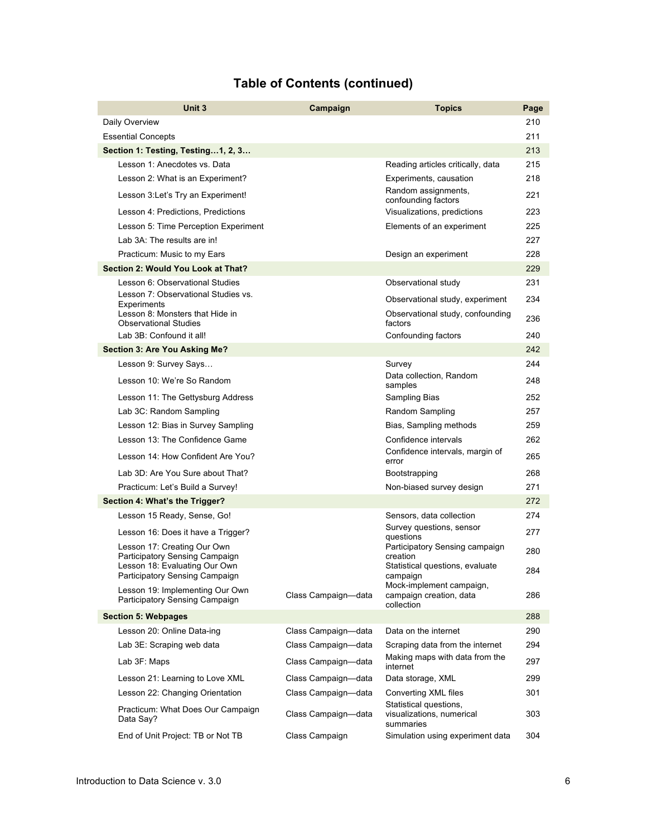## **Table of Contents (continued)**

| Unit 3                                                            | Campaign            | <b>Topics</b>                                                     | Page |
|-------------------------------------------------------------------|---------------------|-------------------------------------------------------------------|------|
| Daily Overview                                                    |                     |                                                                   | 210  |
| <b>Essential Concepts</b>                                         |                     |                                                                   | 211  |
| Section 1: Testing, Testing1, 2, 3                                |                     |                                                                   | 213  |
| Lesson 1: Anecdotes vs. Data                                      |                     | Reading articles critically, data                                 | 215  |
| Lesson 2: What is an Experiment?                                  |                     | Experiments, causation                                            | 218  |
| Lesson 3:Let's Try an Experiment!                                 |                     | Random assignments,<br>confounding factors                        | 221  |
| Lesson 4: Predictions, Predictions                                |                     | Visualizations, predictions                                       | 223  |
| Lesson 5: Time Perception Experiment                              |                     | Elements of an experiment                                         | 225  |
| Lab 3A: The results are in!                                       |                     |                                                                   | 227  |
| Practicum: Music to my Ears                                       |                     | Design an experiment                                              | 228  |
| Section 2: Would You Look at That?                                |                     |                                                                   | 229  |
| Lesson 6: Observational Studies                                   |                     | Observational study                                               | 231  |
| Lesson 7: Observational Studies vs.<br>Experiments                |                     | Observational study, experiment                                   | 234  |
| Lesson 8: Monsters that Hide in<br><b>Observational Studies</b>   |                     | Observational study, confounding<br>factors                       | 236  |
| Lab 3B: Confound it all!                                          |                     | Confounding factors                                               | 240  |
| <b>Section 3: Are You Asking Me?</b>                              |                     |                                                                   | 242  |
| Lesson 9: Survey Says                                             |                     | Survey                                                            | 244  |
| Lesson 10: We're So Random                                        |                     | Data collection. Random<br>samples                                | 248  |
| Lesson 11: The Gettysburg Address                                 |                     | Sampling Bias                                                     | 252  |
| Lab 3C: Random Sampling                                           |                     | Random Sampling                                                   | 257  |
| Lesson 12: Bias in Survey Sampling                                |                     | Bias, Sampling methods                                            | 259  |
| Lesson 13: The Confidence Game                                    |                     | Confidence intervals                                              | 262  |
| Lesson 14: How Confident Are You?                                 |                     | Confidence intervals, margin of<br>error                          | 265  |
| Lab 3D: Are You Sure about That?                                  |                     | Bootstrapping                                                     | 268  |
| Practicum: Let's Build a Survey!                                  |                     | Non-biased survey design                                          | 271  |
| Section 4: What's the Trigger?                                    |                     |                                                                   | 272  |
| Lesson 15 Ready, Sense, Go!                                       |                     | Sensors, data collection<br>Survey questions, sensor              | 274  |
| Lesson 16: Does it have a Trigger?<br>Lesson 17: Creating Our Own |                     | questions<br>Participatory Sensing campaign                       | 277  |
| Participatory Sensing Campaign                                    |                     | creation                                                          | 280  |
| Lesson 18: Evaluating Our Own<br>Participatory Sensing Campaign   |                     | Statistical questions, evaluate<br>campaign                       | 284  |
| Lesson 19: Implementing Our Own<br>Participatory Sensing Campaign | Class Campaign-data | Mock-implement campaign,<br>campaign creation, data<br>collection | 286  |
| <b>Section 5: Webpages</b>                                        |                     |                                                                   | 288  |
| Lesson 20: Online Data-ing                                        | Class Campaign-data | Data on the internet                                              | 290  |
| Lab 3E: Scraping web data                                         | Class Campaign-data | Scraping data from the internet                                   | 294  |
| Lab 3F: Maps                                                      | Class Campaign-data | Making maps with data from the<br>internet                        | 297  |
| Lesson 21: Learning to Love XML                                   | Class Campaign-data | Data storage, XML                                                 | 299  |
| Lesson 22: Changing Orientation                                   | Class Campaign-data | Converting XML files                                              | 301  |
| Practicum: What Does Our Campaign<br>Data Say?                    | Class Campaign-data | Statistical questions,<br>visualizations, numerical<br>summaries  | 303  |
| End of Unit Project: TB or Not TB                                 | Class Campaign      | Simulation using experiment data                                  | 304  |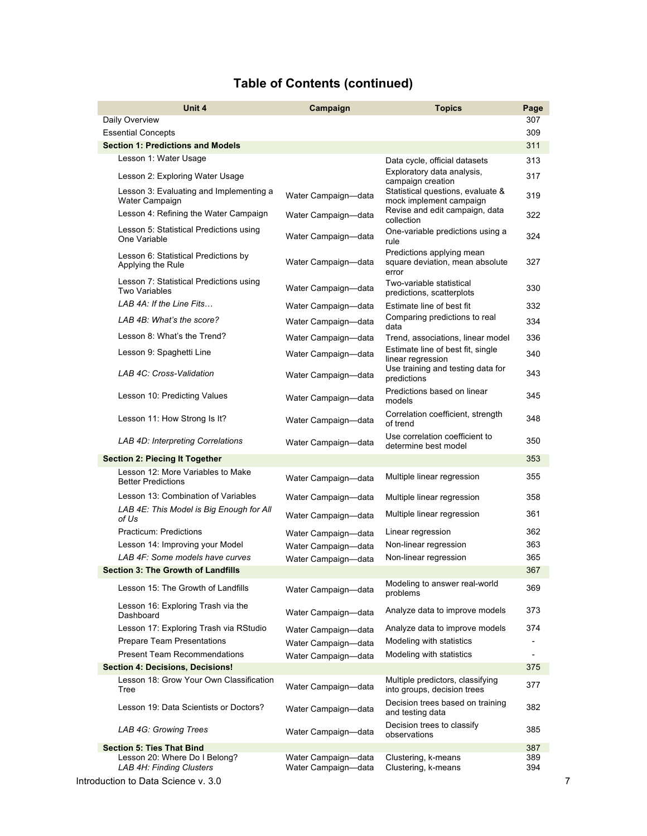|  |  | <b>Table of Contents (continued)</b> |
|--|--|--------------------------------------|
|--|--|--------------------------------------|

| Unit 4                                                          | Campaign                                   | <b>Topics</b>                                                         | Page       |
|-----------------------------------------------------------------|--------------------------------------------|-----------------------------------------------------------------------|------------|
| Daily Overview                                                  |                                            |                                                                       | 307        |
| <b>Essential Concepts</b>                                       |                                            |                                                                       | 309        |
| <b>Section 1: Predictions and Models</b>                        |                                            |                                                                       | 311        |
| Lesson 1: Water Usage                                           |                                            | Data cycle, official datasets                                         | 313        |
| Lesson 2: Exploring Water Usage                                 |                                            | Exploratory data analysis,<br>campaign creation                       | 317        |
| Lesson 3: Evaluating and Implementing a<br>Water Campaign       | Water Campaign-data                        | Statistical questions, evaluate &<br>mock implement campaign          | 319        |
| Lesson 4: Refining the Water Campaign                           | Water Campaign-data                        | Revise and edit campaign, data<br>collection                          | 322        |
| Lesson 5: Statistical Predictions using<br>One Variable         | Water Campaign-data                        | One-variable predictions using a<br>rule                              | 324        |
| Lesson 6: Statistical Predictions by<br>Applying the Rule       | Water Campaign-data                        | Predictions applying mean<br>square deviation, mean absolute<br>error | 327        |
| Lesson 7: Statistical Predictions using<br><b>Two Variables</b> | Water Campaign-data                        | Two-variable statistical<br>predictions, scatterplots                 | 330        |
| LAB 4A: If the Line Fits                                        | Water Campaign-data                        | Estimate line of best fit                                             | 332        |
| LAB 4B: What's the score?                                       | Water Campaign-data                        | Comparing predictions to real<br>data                                 | 334        |
| Lesson 8: What's the Trend?                                     | Water Campaign-data                        | Trend, associations, linear model                                     | 336        |
| Lesson 9: Spaghetti Line                                        | Water Campaign-data                        | Estimate line of best fit, single<br>linear regression                | 340        |
| LAB 4C: Cross-Validation                                        | Water Campaign-data                        | Use training and testing data for<br>predictions                      | 343        |
| Lesson 10: Predicting Values                                    | Water Campaign-data                        | Predictions based on linear<br>models                                 | 345        |
| Lesson 11: How Strong Is It?                                    | Water Campaign-data                        | Correlation coefficient, strength<br>of trend                         | 348        |
| LAB 4D: Interpreting Correlations                               | Water Campaign-data                        | Use correlation coefficient to<br>determine best model                | 350        |
| <b>Section 2: Piecing It Together</b>                           |                                            |                                                                       | 353        |
| Lesson 12: More Variables to Make<br><b>Better Predictions</b>  | Water Campaign-data                        | Multiple linear regression                                            | 355        |
| Lesson 13: Combination of Variables                             | Water Campaign-data                        | Multiple linear regression                                            | 358        |
| LAB 4E: This Model is Big Enough for All<br>of Us               | Water Campaign-data                        | Multiple linear regression                                            | 361        |
| <b>Practicum: Predictions</b>                                   | Water Campaign-data                        | Linear regression                                                     | 362        |
| Lesson 14: Improving your Model                                 | Water Campaign-data                        | Non-linear regression                                                 | 363        |
| LAB 4F: Some models have curves                                 | Water Campaign-data                        | Non-linear regression                                                 | 365        |
| <b>Section 3: The Growth of Landfills</b>                       |                                            |                                                                       | 367        |
| Lesson 15: The Growth of Landfills                              | Water Campaign-data                        | Modeling to answer real-world<br>problems                             | 369        |
| Lesson 16: Exploring Trash via the<br>Dashboard                 | Water Campaign-data                        | Analyze data to improve models                                        | 373        |
| Lesson 17: Exploring Trash via RStudio                          | Water Campaign-data                        | Analyze data to improve models                                        | 374        |
| Prepare Team Presentations                                      | Water Campaign-data                        | Modeling with statistics                                              |            |
| <b>Present Team Recommendations</b>                             | Water Campaign-data                        | Modeling with statistics                                              |            |
| <b>Section 4: Decisions, Decisions!</b>                         |                                            |                                                                       | 375        |
| Lesson 18: Grow Your Own Classification<br>Tree                 | Water Campaign-data                        | Multiple predictors, classifying<br>into groups, decision trees       | 377        |
| Lesson 19: Data Scientists or Doctors?                          | Water Campaign-data                        | Decision trees based on training<br>and testing data                  | 382        |
| LAB 4G: Growing Trees                                           | Water Campaign-data                        | Decision trees to classify<br>observations                            | 385        |
| <b>Section 5: Ties That Bind</b>                                |                                            |                                                                       | 387        |
| Lesson 20: Where Do I Belong?<br>LAB 4H: Finding Clusters       | Water Campaign-data<br>Water Campaign-data | Clustering, k-means<br>Clustering, k-means                            | 389<br>394 |